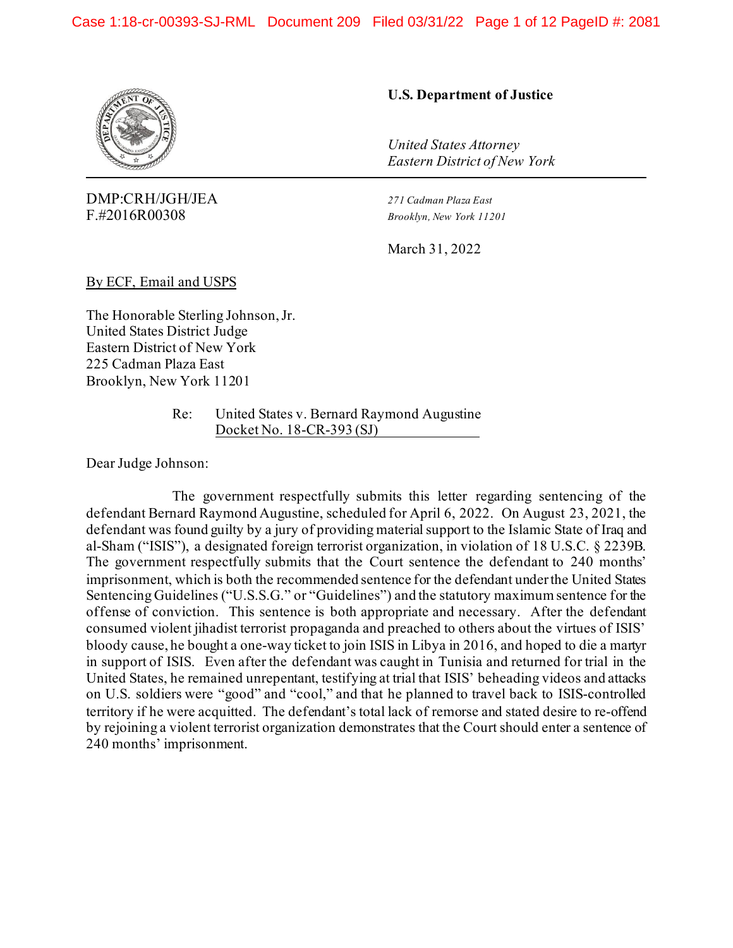

DMP:CRH/JGH/JEA *271 Cadman Plaza East* F.#2016R00308 *Brooklyn, New York 11201*

## **U.S. Department of Justice**

*United States Attorney Eastern District of New York*

March 31, 2022

By ECF, Email and USPS

The Honorable Sterling Johnson, Jr. United States District Judge Eastern District of New York 225 Cadman Plaza East Brooklyn, New York 11201

> Re: United States v. Bernard Raymond Augustine Docket No. 18-CR-393 (SJ)

Dear Judge Johnson:

The government respectfully submits this letter regarding sentencing of the defendant Bernard Raymond Augustine, scheduled for April 6, 2022. On August 23, 2021, the defendant was found guilty by a jury of providing material support to the Islamic State of Iraq and al-Sham ("ISIS"), a designated foreign terrorist organization, in violation of 18 U.S.C. § 2239B. The government respectfully submits that the Court sentence the defendant to 240 months' imprisonment, which is both the recommended sentence for the defendant under the United States Sentencing Guidelines ("U.S.S.G." or "Guidelines") and the statutory maximum sentence for the offense of conviction. This sentence is both appropriate and necessary. After the defendant consumed violent jihadist terrorist propaganda and preached to others about the virtues of ISIS' bloody cause, he bought a one-way ticket to join ISIS in Libya in 2016, and hoped to die a martyr in support of ISIS. Even after the defendant was caught in Tunisia and returned for trial in the United States, he remained unrepentant, testifying at trial that ISIS' beheading videos and attacks on U.S. soldiers were "good" and "cool," and that he planned to travel back to ISIS-controlled territory if he were acquitted. The defendant's total lack of remorse and stated desire to re-offend by rejoining a violent terrorist organization demonstrates that the Court should enter a sentence of 240 months' imprisonment.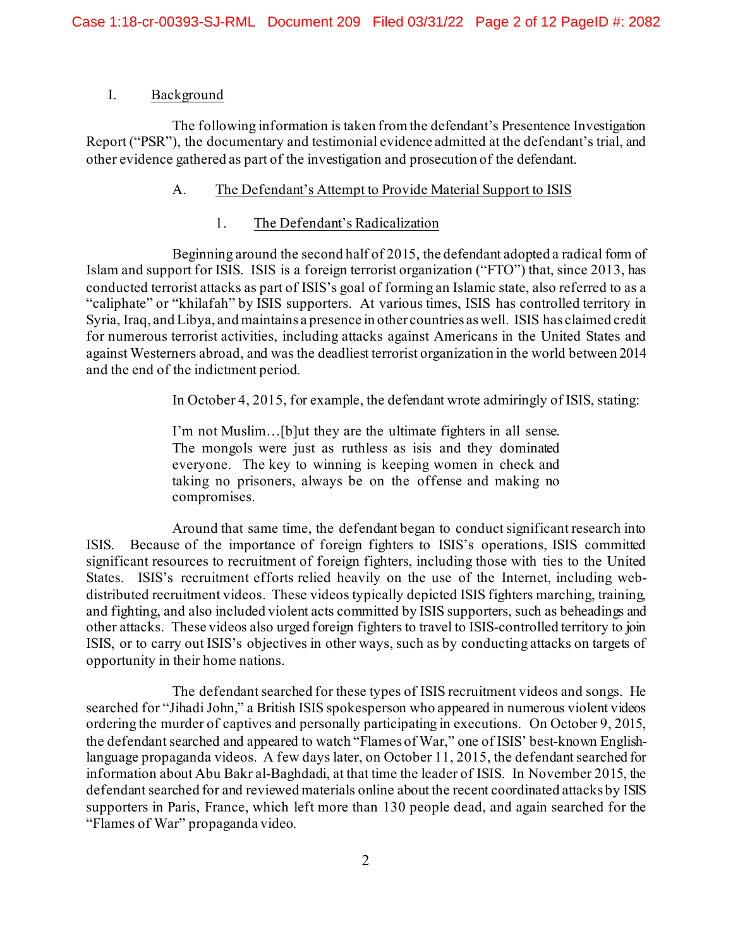## I. Background

The following information is taken from the defendant's Presentence Investigation Report ("PSR"), the documentary and testimonial evidence admitted at the defendant's trial, and other evidence gathered as part of the investigation and prosecution of the defendant.

## A. The Defendant's Attempt to Provide Material Support to ISIS

## 1. The Defendant's Radicalization

Beginning around the second half of 2015, the defendant adopted a radical form of Islam and support for ISIS. ISIS is a foreign terrorist organization ("FTO") that, since 2013, has conducted terrorist attacks as part of ISIS's goal of forming an Islamic state, also referred to as a "caliphate" or "khilafah" by ISIS supporters. At various times, ISIS has controlled territory in Syria, Iraq, and Libya, and maintains a presence in other countries as well. ISIS has claimed credit for numerous terrorist activities, including attacks against Americans in the United States and against Westerners abroad, and was the deadliest terrorist organization in the world between 2014 and the end of the indictment period.

In October 4, 2015, for example, the defendant wrote admiringly of ISIS, stating:

I'm not Muslim…[b]ut they are the ultimate fighters in all sense. The mongols were just as ruthless as isis and they dominated everyone. The key to winning is keeping women in check and taking no prisoners, always be on the offense and making no compromises.

Around that same time, the defendant began to conduct significant research into ISIS. Because of the importance of foreign fighters to ISIS's operations, ISIS committed significant resources to recruitment of foreign fighters, including those with ties to the United States. ISIS's recruitment efforts relied heavily on the use of the Internet, including webdistributed recruitment videos. These videos typically depicted ISIS fighters marching, training, and fighting, and also included violent acts committed by ISIS supporters, such as beheadings and other attacks. These videos also urged foreign fighters to travel to ISIS-controlled territory to join ISIS, or to carry out ISIS's objectives in other ways, such as by conducting attacks on targets of opportunity in their home nations.

The defendant searched for these types of ISIS recruitment videos and songs. He searched for "Jihadi John," a British ISIS spokesperson who appeared in numerous violent videos ordering the murder of captives and personally participating in executions. On October 9, 2015, the defendant searched and appeared to watch "Flames of War," one of ISIS' best-known Englishlanguage propaganda videos. A few days later, on October 11, 2015, the defendant searched for information about Abu Bakr al-Baghdadi, at that time the leader of ISIS. In November 2015, the defendant searched for and reviewed materials online about the recent coordinated attacks by ISIS supporters in Paris, France, which left more than 130 people dead, and again searched for the "Flames of War" propaganda video.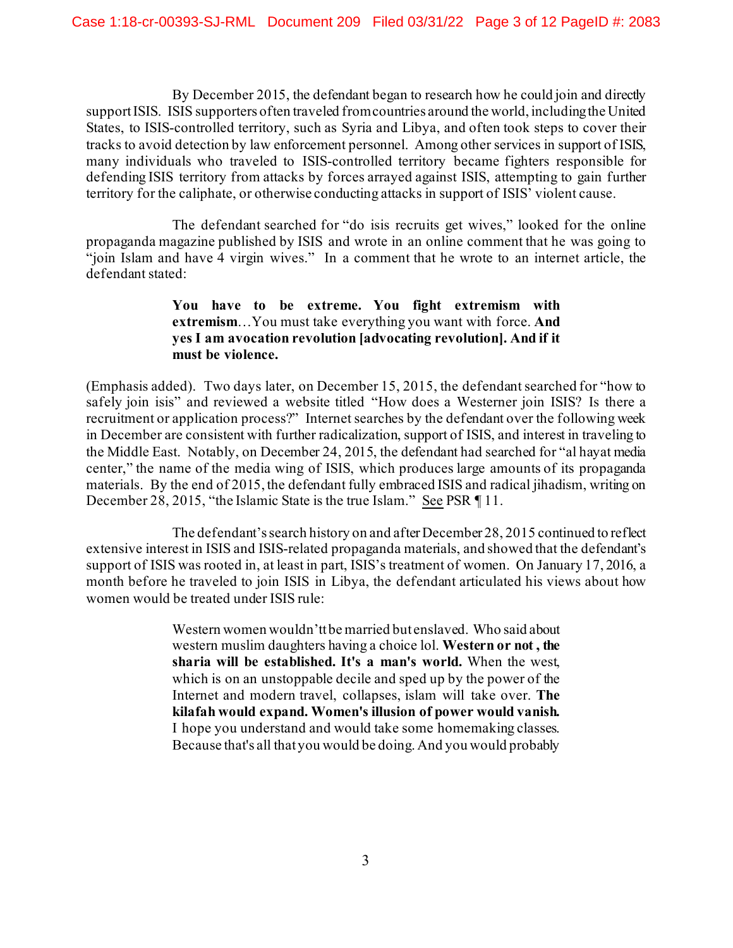By December 2015, the defendant began to research how he could join and directly support ISIS. ISIS supporters often traveled from countries around the world, including the United States, to ISIS-controlled territory, such as Syria and Libya, and often took steps to cover their tracks to avoid detection by law enforcement personnel. Among other services in support of ISIS, many individuals who traveled to ISIS-controlled territory became fighters responsible for defending ISIS territory from attacks by forces arrayed against ISIS, attempting to gain further territory for the caliphate, or otherwise conducting attacks in support of ISIS' violent cause.

The defendant searched for "do isis recruits get wives," looked for the online propaganda magazine published by ISIS and wrote in an online comment that he was going to "join Islam and have 4 virgin wives." In a comment that he wrote to an internet article, the defendant stated:

## **You have to be extreme. You fight extremism with extremism**…You must take everything you want with force. **And yes I am avocation revolution [advocating revolution]. And if it must be violence.**

(Emphasis added). Two days later, on December 15, 2015, the defendant searched for "how to safely join isis" and reviewed a website titled "How does a Westerner join ISIS? Is there a recruitment or application process?" Internet searches by the defendant over the following week in December are consistent with further radicalization, support of ISIS, and interest in traveling to the Middle East. Notably, on December 24, 2015, the defendant had searched for "al hayat media center," the name of the media wing of ISIS, which produces large amounts of its propaganda materials. By the end of 2015, the defendant fully embraced ISIS and radical jihadism, writing on December 28, 2015, "the Islamic State is the true Islam." See PSR 11.

The defendant's search history on and after December 28, 2015 continued to reflect extensive interest in ISIS and ISIS-related propaganda materials, and showed that the defendant's support of ISIS was rooted in, at least in part, ISIS's treatment of women. On January 17, 2016, a month before he traveled to join ISIS in Libya, the defendant articulated his views about how women would be treated under ISIS rule:

> Western women wouldn'tt be married but enslaved. Who said about western muslim daughters having a choice lol. **Western or not , the sharia will be established. It's a man's world.** When the west, which is on an unstoppable decile and sped up by the power of the Internet and modern travel, collapses, islam will take over. **The kilafah would expand. Women's illusion of power would vanish.** I hope you understand and would take some homemaking classes. Because that's all that you would be doing. And you would probably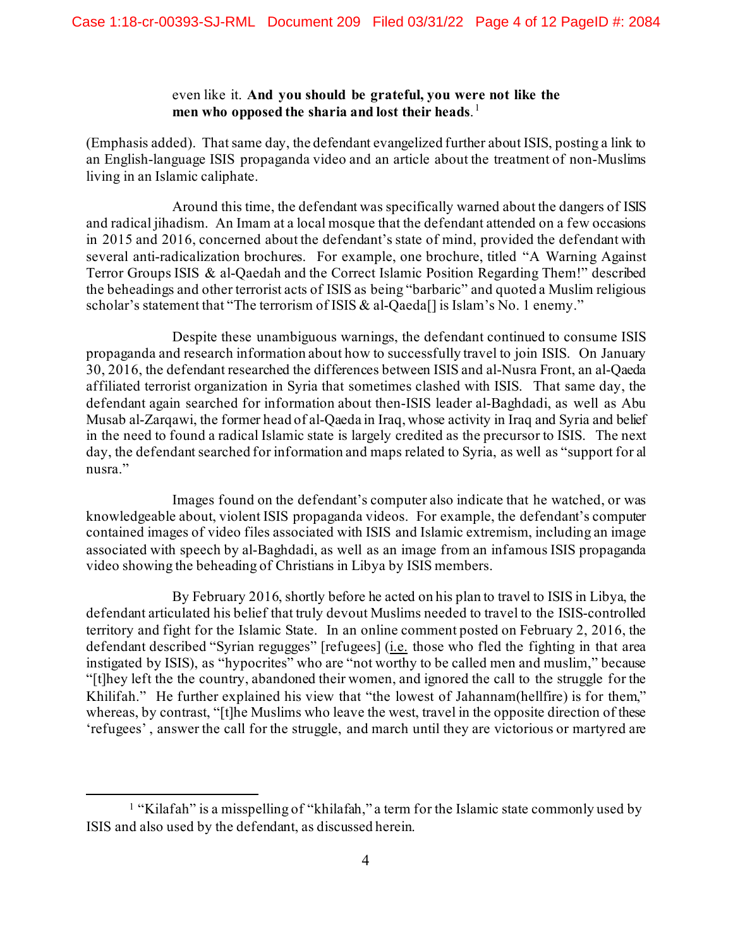## even like it. **And you should be grateful, you were not like the men who opposed the sharia and lost their heads**. [1](#page-3-0)

(Emphasis added). That same day, the defendant evangelized further about ISIS, posting a link to an English-language ISIS propaganda video and an article about the treatment of non-Muslims living in an Islamic caliphate.

Around this time, the defendant was specifically warned about the dangers of ISIS and radical jihadism. An Imam at a local mosque that the defendant attended on a few occasions in 2015 and 2016, concerned about the defendant's state of mind, provided the defendant with several anti-radicalization brochures. For example, one brochure, titled "A Warning Against Terror Groups ISIS & al-Qaedah and the Correct Islamic Position Regarding Them!" described the beheadings and other terrorist acts of ISIS as being "barbaric" and quoted a Muslim religious scholar's statement that "The terrorism of ISIS & al-Qaeda<sup>[]</sup> is Islam's No. 1 enemy."

Despite these unambiguous warnings, the defendant continued to consume ISIS propaganda and research information about how to successfully travel to join ISIS. On January 30, 2016, the defendant researched the differences between ISIS and al-Nusra Front, an al-Qaeda affiliated terrorist organization in Syria that sometimes clashed with ISIS. That same day, the defendant again searched for information about then-ISIS leader al-Baghdadi, as well as Abu Musab al-Zarqawi, the former head of al-Qaeda in Iraq, whose activity in Iraq and Syria and belief in the need to found a radical Islamic state is largely credited as the precursor to ISIS. The next day, the defendant searched for information and maps related to Syria, as well as "support for al nusra."

Images found on the defendant's computer also indicate that he watched, or was knowledgeable about, violent ISIS propaganda videos. For example, the defendant's computer contained images of video files associated with ISIS and Islamic extremism, including an image associated with speech by al-Baghdadi, as well as an image from an infamous ISIS propaganda video showing the beheading of Christians in Libya by ISIS members.

By February 2016, shortly before he acted on his plan to travel to ISIS in Libya, the defendant articulated his belief that truly devout Muslims needed to travel to the ISIS-controlled territory and fight for the Islamic State. In an online comment posted on February 2, 2016, the defendant described "Syrian regugges" [refugees] (i.e. those who fled the fighting in that area instigated by ISIS), as "hypocrites" who are "not worthy to be called men and muslim," because "[t]hey left the the country, abandoned their women, and ignored the call to the struggle for the Khilifah." He further explained his view that "the lowest of Jahannam(hellfire) is for them," whereas, by contrast, "[t]he Muslims who leave the west, travel in the opposite direction of these 'refugees' , answer the call for the struggle, and march until they are victorious or martyred are

<span id="page-3-0"></span><sup>&</sup>lt;sup>1</sup> "Kilafah" is a misspelling of "khilafah," a term for the Islamic state commonly used by ISIS and also used by the defendant, as discussed herein.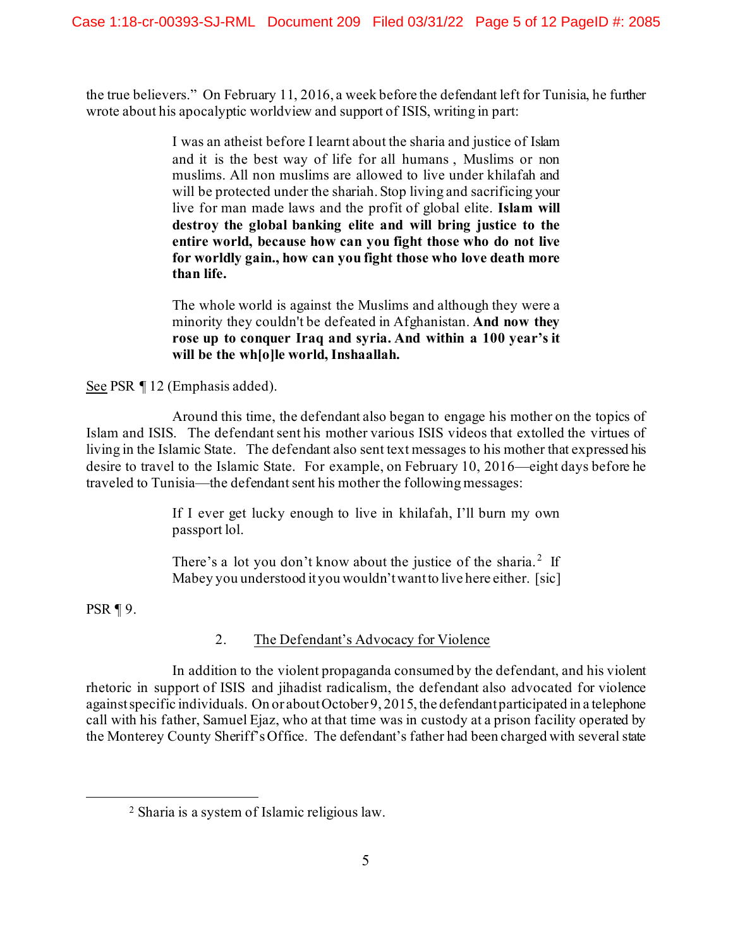the true believers." On February 11, 2016, a week before the defendant left for Tunisia, he further wrote about his apocalyptic worldview and support of ISIS, writing in part:

> I was an atheist before I learnt about the sharia and justice of Islam and it is the best way of life for all humans , Muslims or non muslims. All non muslims are allowed to live under khilafah and will be protected under the shariah. Stop living and sacrificing your live for man made laws and the profit of global elite. **Islam will destroy the global banking elite and will bring justice to the entire world, because how can you fight those who do not live for worldly gain., how can you fight those who love death more than life.**

> The whole world is against the Muslims and although they were a minority they couldn't be defeated in Afghanistan. **And now they rose up to conquer Iraq and syria. And within a 100 year's it will be the wh[o]le world, Inshaallah.**

See PSR ¶ 12 (Emphasis added).

Around this time, the defendant also began to engage his mother on the topics of Islam and ISIS. The defendant sent his mother various ISIS videos that extolled the virtues of living in the Islamic State. The defendant also sent text messages to his mother that expressed his desire to travel to the Islamic State. For example, on February 10, 2016—eight days before he traveled to Tunisia—the defendant sent his mother the following messages:

> If I ever get lucky enough to live in khilafah, I'll burn my own passport lol.

> There's a lot you don't know about the justice of the sharia.<sup>[2](#page-4-0)</sup> If Mabey you understood it you wouldn't want to live here either. [sic]

PSR ¶ 9.

# 2. The Defendant's Advocacy for Violence

In addition to the violent propaganda consumed by the defendant, and his violent rhetoric in support of ISIS and jihadist radicalism, the defendant also advocated for violence against specific individuals. On or about October 9, 2015, the defendant participated in a telephone call with his father, Samuel Ejaz, who at that time was in custody at a prison facility operated by the Monterey County Sheriff's Office. The defendant's father had been charged with several state

<span id="page-4-0"></span><sup>2</sup> Sharia is a system of Islamic religious law.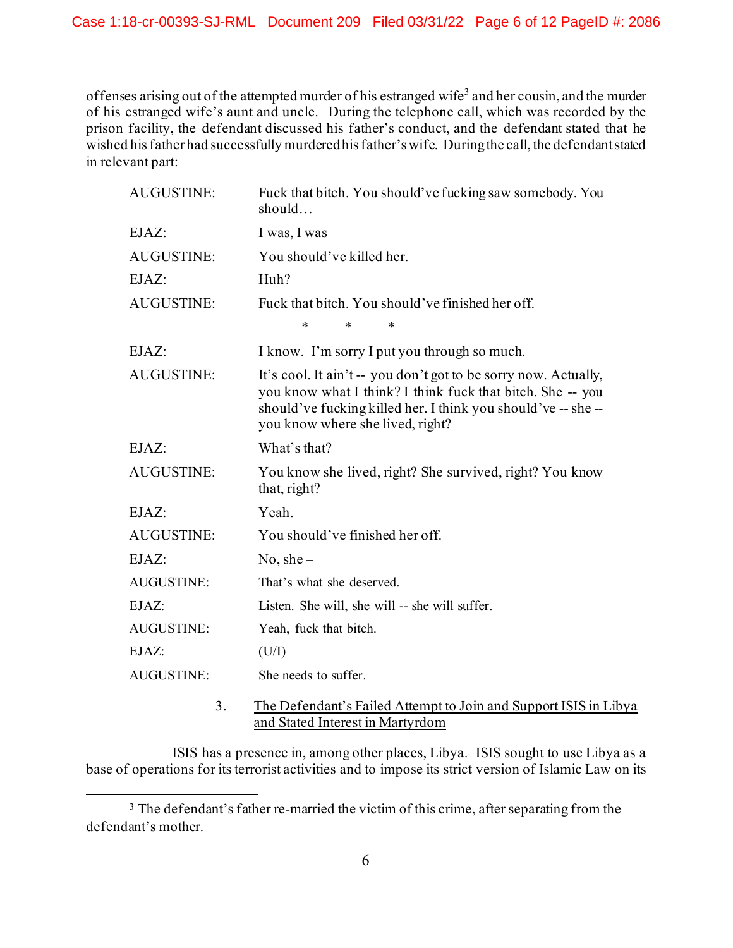offenses arising out of the attempted murder of his estranged wife<sup>[3](#page-5-0)</sup> and her cousin, and the murder of his estranged wife's aunt and uncle. During the telephone call, which was recorded by the prison facility, the defendant discussed his father's conduct, and the defendant stated that he wished his father had successfully murdered his father's wife. During the call, the defendant stated in relevant part:

| <b>AUGUSTINE:</b> | Fuck that bitch. You should've fucking saw somebody. You<br>should                                                                                                                                                                |  |  |
|-------------------|-----------------------------------------------------------------------------------------------------------------------------------------------------------------------------------------------------------------------------------|--|--|
| EJAZ:             | I was, I was                                                                                                                                                                                                                      |  |  |
| <b>AUGUSTINE:</b> | You should've killed her.                                                                                                                                                                                                         |  |  |
| EJAZ:             | Huh?                                                                                                                                                                                                                              |  |  |
| <b>AUGUSTINE:</b> | Fuck that bitch. You should've finished her off.                                                                                                                                                                                  |  |  |
|                   | $\ast$<br>$\ast$<br>*                                                                                                                                                                                                             |  |  |
| EJAZ:             | I know. I'm sorry I put you through so much.                                                                                                                                                                                      |  |  |
| <b>AUGUSTINE:</b> | It's cool. It ain't -- you don't got to be sorry now. Actually,<br>you know what I think? I think fuck that bitch. She -- you<br>should've fucking killed her. I think you should've -- she -<br>you know where she lived, right? |  |  |
| EJAZ:             | What's that?                                                                                                                                                                                                                      |  |  |
| <b>AUGUSTINE:</b> | You know she lived, right? She survived, right? You know<br>that, right?                                                                                                                                                          |  |  |
| EJAZ:             | Yeah.                                                                                                                                                                                                                             |  |  |
| <b>AUGUSTINE:</b> | You should've finished her off.                                                                                                                                                                                                   |  |  |
| EJAZ:             | $No, she-$                                                                                                                                                                                                                        |  |  |
| <b>AUGUSTINE:</b> | That's what she deserved.                                                                                                                                                                                                         |  |  |
| EJAZ:             | Listen. She will, she will -- she will suffer.                                                                                                                                                                                    |  |  |
| AUGUSTINE:        | Yeah, fuck that bitch.                                                                                                                                                                                                            |  |  |
| EJAZ:             | (U/I)                                                                                                                                                                                                                             |  |  |
| <b>AUGUSTINE:</b> | She needs to suffer.                                                                                                                                                                                                              |  |  |
| $\mathcal{L}$     | The Defendant's Failed Attempt to Join and Support ISIS in Li                                                                                                                                                                     |  |  |

#### 3. The Defendant's Failed Attempt to Join and Support ISIS in Libya and Stated Interest in Martyrdom

ISIS has a presence in, among other places, Libya. ISIS sought to use Libya as a base of operations for its terrorist activities and to impose its strict version of Islamic Law on its

<span id="page-5-0"></span><sup>&</sup>lt;sup>3</sup> The defendant's father re-married the victim of this crime, after separating from the defendant's mother.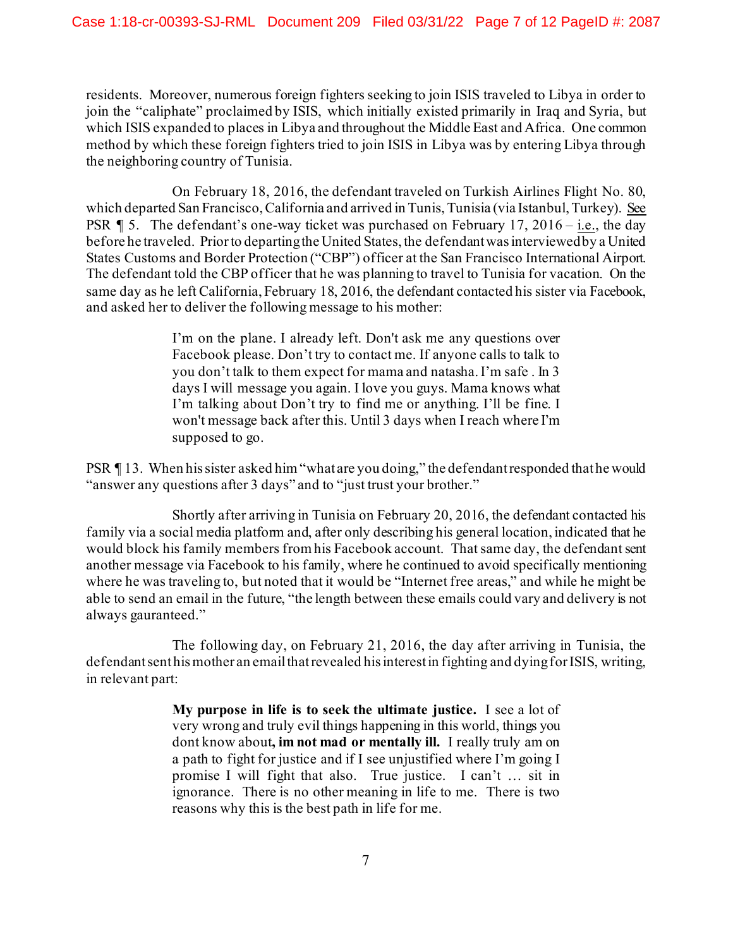residents. Moreover, numerous foreign fighters seeking to join ISIS traveled to Libya in order to join the "caliphate" proclaimed by ISIS, which initially existed primarily in Iraq and Syria, but which ISIS expanded to places in Libya and throughout the Middle East and Africa. One common method by which these foreign fighters tried to join ISIS in Libya was by entering Libya through the neighboring country of Tunisia.

On February 18, 2016, the defendant traveled on Turkish Airlines Flight No. 80, which departed San Francisco, California and arrived in Tunis, Tunisia (via Istanbul, Turkey). See PSR  $\parallel$  5. The defendant's one-way ticket was purchased on February 17, 2016 – i.e., the day before he traveled. Prior to departing the United States, the defendant was interviewed by a United States Customs and Border Protection ("CBP") officer at the San Francisco International Airport. The defendant told the CBP officer that he was planning to travel to Tunisia for vacation. On the same day as he left California, February 18, 2016, the defendant contacted his sister via Facebook, and asked her to deliver the following message to his mother:

> I'm on the plane. I already left. Don't ask me any questions over Facebook please. Don't try to contact me. If anyone calls to talk to you don't talk to them expect for mama and natasha. I'm safe . In 3 days I will message you again. I love you guys. Mama knows what I'm talking about Don't try to find me or anything. I'll be fine. I won't message back after this. Until 3 days when I reach where I'm supposed to go.

PSR ¶ 13. When his sister asked him "what are you doing," the defendant responded that he would "answer any questions after 3 days" and to "just trust your brother."

Shortly after arriving in Tunisia on February 20, 2016, the defendant contacted his family via a social media platform and, after only describing his general location, indicated that he would block his family members from his Facebook account. That same day, the defendant sent another message via Facebook to his family, where he continued to avoid specifically mentioning where he was traveling to, but noted that it would be "Internet free areas," and while he might be able to send an email in the future, "the length between these emails could vary and delivery is not always gauranteed."

The following day, on February 21, 2016, the day after arriving in Tunisia, the defendant sent his mother an email that revealed his interest in fighting and dying for ISIS, writing, in relevant part:

> **My purpose in life is to seek the ultimate justice.** I see a lot of very wrong and truly evil things happening in this world, things you dont know about**, im not mad or mentally ill.** I really truly am on a path to fight for justice and if I see unjustified where I'm going I promise I will fight that also. True justice. I can't … sit in ignorance. There is no other meaning in life to me. There is two reasons why this is the best path in life for me.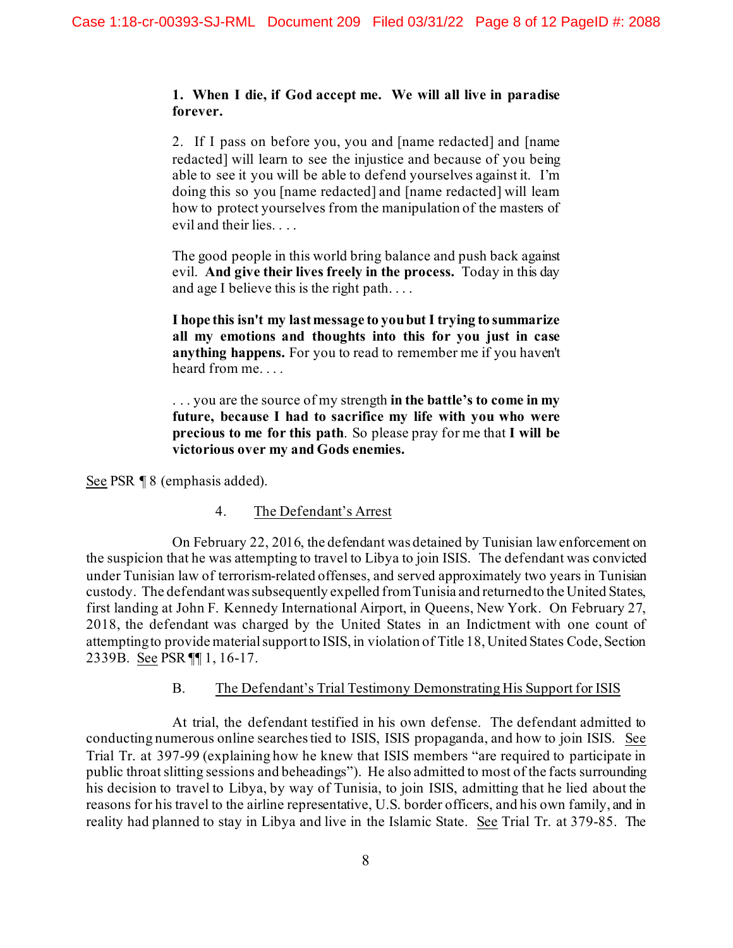### **1. When I die, if God accept me. We will all live in paradise forever.**

2. If I pass on before you, you and [name redacted] and [name redacted] will learn to see the injustice and because of you being able to see it you will be able to defend yourselves against it. I'm doing this so you [name redacted] and [name redacted] will learn how to protect yourselves from the manipulation of the masters of evil and their lies. . . .

The good people in this world bring balance and push back against evil. **And give their lives freely in the process.** Today in this day and age I believe this is the right path. . . .

**I hope this isn't my last message to you but I trying to summarize all my emotions and thoughts into this for you just in case anything happens.** For you to read to remember me if you haven't heard from me. . . .

. . . you are the source of my strength **in the battle's to come in my future, because I had to sacrifice my life with you who were precious to me for this path**. So please pray for me that **I will be victorious over my and Gods enemies.**

See PSR ¶ 8 (emphasis added).

# 4. The Defendant's Arrest

On February 22, 2016, the defendant was detained by Tunisian law enforcement on the suspicion that he was attempting to travel to Libya to join ISIS. The defendant was convicted under Tunisian law of terrorism-related offenses, and served approximately two years in Tunisian custody. The defendant was subsequently expelled from Tunisia and returned to the United States, first landing at John F. Kennedy International Airport, in Queens, New York. On February 27, 2018, the defendant was charged by the United States in an Indictment with one count of attempting to provide material support to ISIS, in violation of Title 18, United States Code, Section 2339B. See PSR ¶¶ 1, 16-17.

# B. The Defendant's Trial Testimony Demonstrating His Support for ISIS

At trial, the defendant testified in his own defense. The defendant admitted to conducting numerous online searches tied to ISIS, ISIS propaganda, and how to join ISIS. See Trial Tr. at 397-99 (explaining how he knew that ISIS members "are required to participate in public throat slitting sessions and beheadings"). He also admitted to most of the facts surrounding his decision to travel to Libya, by way of Tunisia, to join ISIS, admitting that he lied about the reasons for his travel to the airline representative, U.S. border officers, and his own family, and in reality had planned to stay in Libya and live in the Islamic State. See Trial Tr. at 379-85. The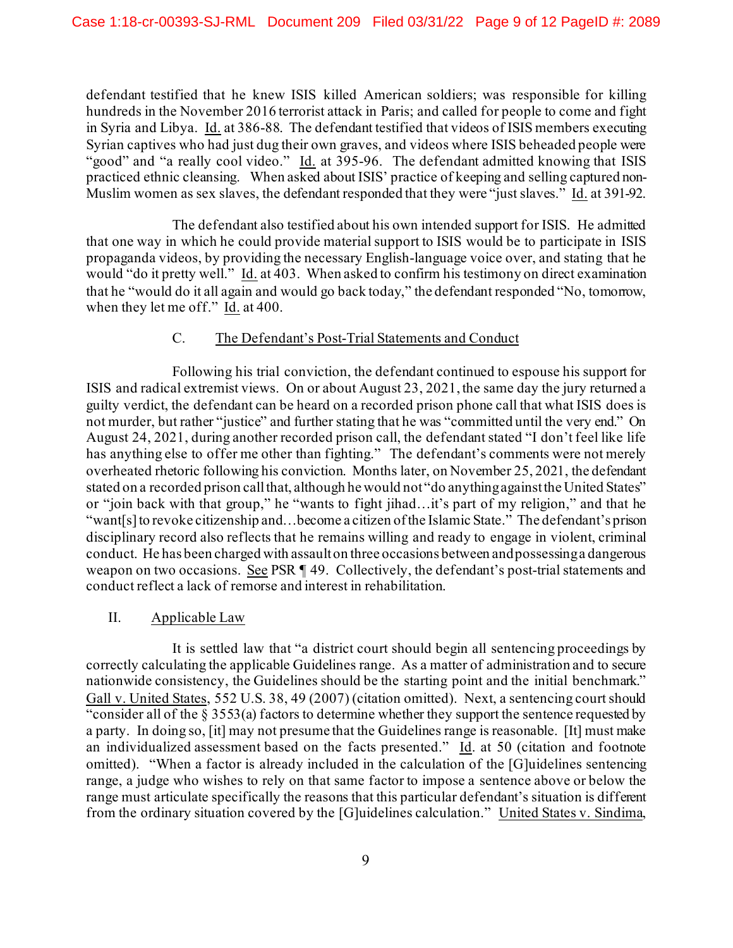defendant testified that he knew ISIS killed American soldiers; was responsible for killing hundreds in the November 2016 terrorist attack in Paris; and called for people to come and fight in Syria and Libya. Id. at 386-88. The defendant testified that videos of ISIS members executing Syrian captives who had just dug their own graves, and videos where ISIS beheaded people were "good" and "a really cool video." Id. at 395-96. The defendant admitted knowing that ISIS practiced ethnic cleansing. When asked about ISIS' practice of keeping and selling captured non-Muslim women as sex slaves, the defendant responded that they were "just slaves." Id. at 391-92.

The defendant also testified about his own intended support for ISIS. He admitted that one way in which he could provide material support to ISIS would be to participate in ISIS propaganda videos, by providing the necessary English-language voice over, and stating that he would "do it pretty well." Id. at 403. When asked to confirm his testimony on direct examination that he "would do it all again and would go back today," the defendant responded "No, tomorrow, when they let me off." Id. at 400.

# C. The Defendant's Post-Trial Statements and Conduct

Following his trial conviction, the defendant continued to espouse his support for ISIS and radical extremist views. On or about August 23, 2021, the same day the jury returned a guilty verdict, the defendant can be heard on a recorded prison phone call that what ISIS does is not murder, but rather "justice" and further stating that he was "committed until the very end." On August 24, 2021, during another recorded prison call, the defendant stated "I don't feel like life has anything else to offer me other than fighting." The defendant's comments were not merely overheated rhetoric following his conviction. Months later, on November 25, 2021, the defendant stated on a recorded prison call that, although he would not "do anything against the United States" or "join back with that group," he "wants to fight jihad…it's part of my religion," and that he "want[s]to revoke citizenship and…become a citizen of the Islamic State." The defendant's prison disciplinary record also reflects that he remains willing and ready to engage in violent, criminal conduct. He has been charged with assault on three occasions between and possessing a dangerous weapon on two occasions. See PSR ¶ 49. Collectively, the defendant's post-trial statements and conduct reflect a lack of remorse and interest in rehabilitation.

# II. Applicable Law

It is settled law that "a district court should begin all sentencing proceedings by correctly calculating the applicable Guidelines range. As a matter of administration and to secure nationwide consistency, the Guidelines should be the starting point and the initial benchmark." Gall v. United States, 552 U.S. 38, 49 (2007) (citation omitted). Next, a sentencing court should "consider all of the  $\frac{2}{5}$  3553(a) factors to determine whether they support the sentence requested by a party. In doing so, [it] may not presume that the Guidelines range is reasonable. [It] must make an individualized assessment based on the facts presented." Id. at 50 (citation and footnote omitted). "When a factor is already included in the calculation of the [G]uidelines sentencing range, a judge who wishes to rely on that same factor to impose a sentence above or below the range must articulate specifically the reasons that this particular defendant's situation is different from the ordinary situation covered by the [G]uidelines calculation." United States v. Sindima,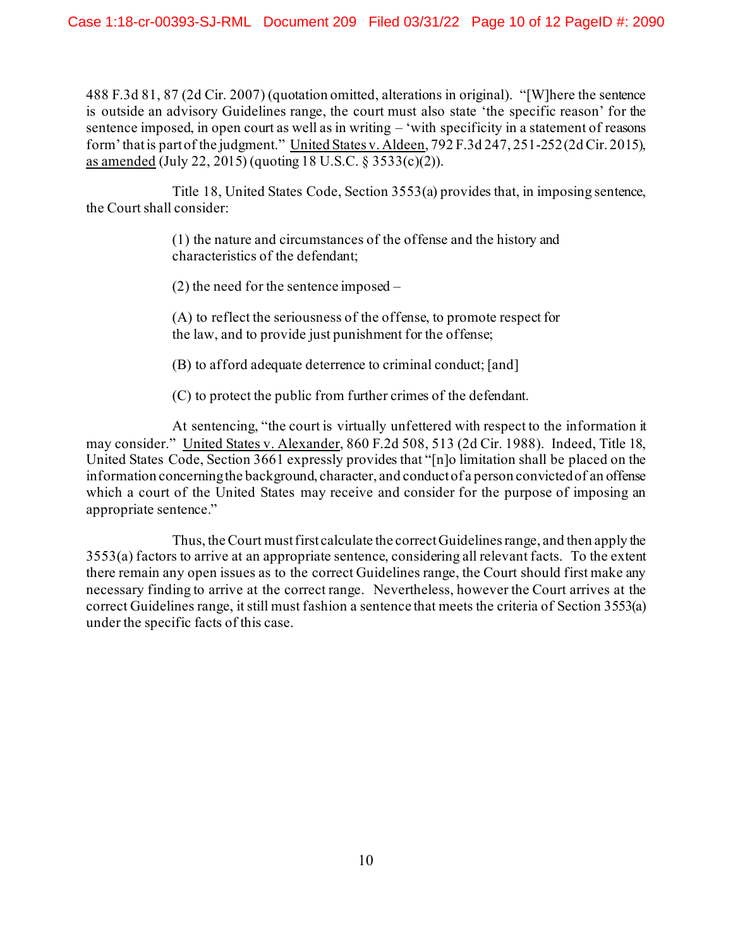488 F.3d 81, 87 (2d Cir. 2007) (quotation omitted, alterations in original). "[W]here the sentence is outside an advisory Guidelines range, the court must also state 'the specific reason' for the sentence imposed, in open court as well as in writing – 'with specificity in a statement of reasons form' that is part of the judgment." United States v. Aldeen, 792 F.3d 247, 251-252 (2d Cir. 2015), as amended (July 22, 2015) (quoting 18 U.S.C. § 3533(c)(2)).

Title 18, United States Code, Section 3553(a) provides that, in imposing sentence, the Court shall consider:

> (1) the nature and circumstances of the offense and the history and characteristics of the defendant;

(2) the need for the sentence imposed –

(A) to reflect the seriousness of the offense, to promote respect for the law, and to provide just punishment for the offense;

(B) to afford adequate deterrence to criminal conduct; [and]

(C) to protect the public from further crimes of the defendant.

At sentencing, "the court is virtually unfettered with respect to the information it may consider." United States v. Alexander, 860 F.2d 508, 513 (2d Cir. 1988). Indeed, Title 18, United States Code, Section 3661 expressly provides that "[n]o limitation shall be placed on the information concerning the background, character, and conduct of a person convicted of an offense which a court of the United States may receive and consider for the purpose of imposing an appropriate sentence."

Thus, the Court must first calculate the correct Guidelines range, and then apply the 3553(a) factors to arrive at an appropriate sentence, considering all relevant facts. To the extent there remain any open issues as to the correct Guidelines range, the Court should first make any necessary finding to arrive at the correct range. Nevertheless, however the Court arrives at the correct Guidelines range, it still must fashion a sentence that meets the criteria of Section 3553(a) under the specific facts of this case.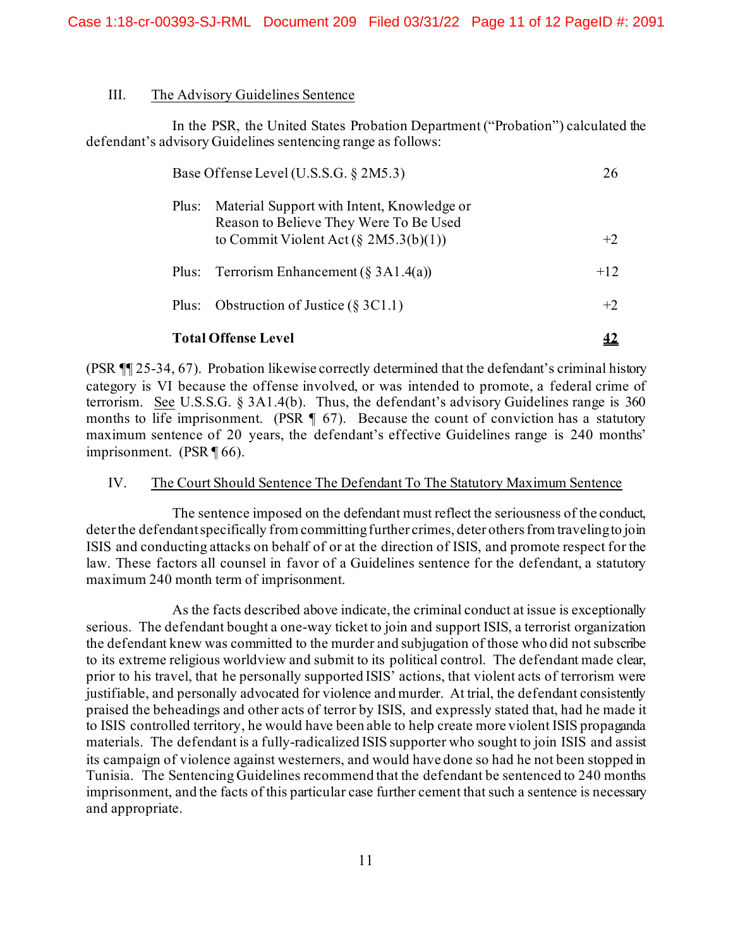#### III. The Advisory Guidelines Sentence

In the PSR, the United States Probation Department ("Probation") calculated the defendant's advisory Guidelines sentencing range as follows:

| Base Offense Level (U.S.S.G. § 2M5.3) |                                                                                      | 26    |
|---------------------------------------|--------------------------------------------------------------------------------------|-------|
| Plus:                                 | Material Support with Intent, Knowledge or<br>Reason to Believe They Were To Be Used |       |
|                                       | to Commit Violent Act (§ 2M5.3(b)(1))                                                | $+2$  |
| Plus:                                 | Terrorism Enhancement (§ 3A1.4(a))                                                   | $+12$ |
| Plus:                                 | Obstruction of Justice $(\S 3C1.1)$                                                  | $+2$  |
| <b>Total Offense Level</b>            |                                                                                      |       |

(PSR ¶¶ 25-34, 67). Probation likewise correctly determined that the defendant's criminal history category is VI because the offense involved, or was intended to promote, a federal crime of terrorism. See U.S.S.G. § 3A1.4(b). Thus, the defendant's advisory Guidelines range is 360 months to life imprisonment. (PSR  $\P$  67). Because the count of conviction has a statutory maximum sentence of 20 years, the defendant's effective Guidelines range is 240 months' imprisonment. (PSR ¶ 66).

#### IV. The Court Should Sentence The Defendant To The Statutory Maximum Sentence

The sentence imposed on the defendant must reflect the seriousness of the conduct, deter the defendantspecifically from committing further crimes, deter others from traveling to join ISIS and conducting attacks on behalf of or at the direction of ISIS, and promote respect for the law. These factors all counsel in favor of a Guidelines sentence for the defendant, a statutory maximum 240 month term of imprisonment.

As the facts described above indicate, the criminal conduct at issue is exceptionally serious. The defendant bought a one-way ticket to join and support ISIS, a terrorist organization the defendant knew was committed to the murder and subjugation of those who did not subscribe to its extreme religious worldview and submit to its political control. The defendant made clear, prior to his travel, that he personally supported ISIS' actions, that violent acts of terrorism were justifiable, and personally advocated for violence and murder. At trial, the defendant consistently praised the beheadings and other acts of terror by ISIS, and expressly stated that, had he made it to ISIS controlled territory, he would have been able to help create more violent ISIS propaganda materials. The defendant is a fully-radicalized ISIS supporter who sought to join ISIS and assist its campaign of violence against westerners, and would have done so had he not been stopped in Tunisia. The Sentencing Guidelines recommend that the defendant be sentenced to 240 months imprisonment, and the facts of this particular case further cement that such a sentence is necessary and appropriate.